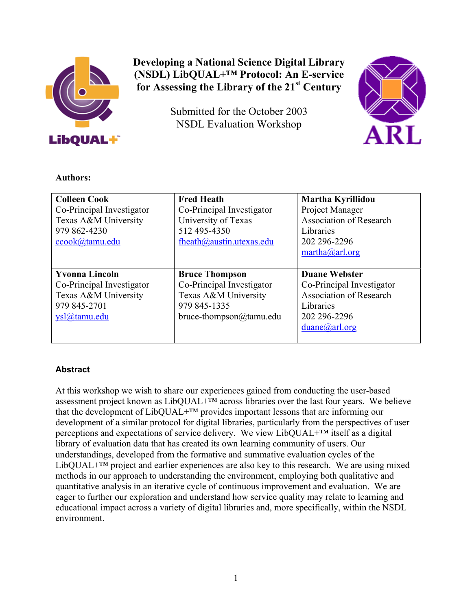

# **Developing a National Science Digital Library (NSDL) LibQUAL+™ Protocol: An E-service for Assessing the Library of the 21st Century**

Submitted for the October 2003 NSDL Evaluation Workshop



#### **Authors:**

| <b>Colleen Cook</b><br>Co-Principal Investigator<br>Texas A&M University<br>979 862-4230<br>ccook@tamu.edu | <b>Fred Heath</b><br>Co-Principal Investigator<br>University of Texas<br>512 495-4350<br>fheath@austin.utexas.edu     | Martha Kyrillidou<br>Project Manager<br><b>Association of Research</b><br>Libraries<br>202 296-2296<br>$\text{martha}(\partial \text{arl.org})$ |
|------------------------------------------------------------------------------------------------------------|-----------------------------------------------------------------------------------------------------------------------|-------------------------------------------------------------------------------------------------------------------------------------------------|
| <b>Yvonna Lincoln</b><br>Co-Principal Investigator<br>Texas A&M University<br>979 845-2701<br>vsl@tamu.edu | <b>Bruce Thompson</b><br>Co-Principal Investigator<br>Texas A&M University<br>979 845-1335<br>bruce-thompson@tamu.edu | <b>Duane Webster</b><br>Co-Principal Investigator<br><b>Association of Research</b><br>Libraries<br>202 296-2296<br>$duane(a)$ arl.org          |

## **Abstract**

At this workshop we wish to share our experiences gained from conducting the user-based assessment project known as LibQUAL+™ across libraries over the last four years. We believe that the development of LibQUAL+™ provides important lessons that are informing our development of a similar protocol for digital libraries, particularly from the perspectives of user perceptions and expectations of service delivery. We view LibQUAL+™ itself as a digital library of evaluation data that has created its own learning community of users. Our understandings, developed from the formative and summative evaluation cycles of the LibQUAL $+^{TM}$  project and earlier experiences are also key to this research. We are using mixed methods in our approach to understanding the environment, employing both qualitative and quantitative analysis in an iterative cycle of continuous improvement and evaluation. We are eager to further our exploration and understand how service quality may relate to learning and educational impact across a variety of digital libraries and, more specifically, within the NSDL environment.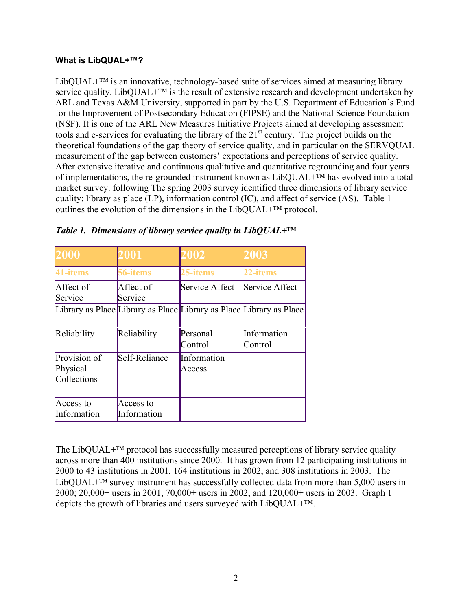#### **What is LibQUAL+™?**

LibOUAL $+^{TM}$  is an innovative, technology-based suite of services aimed at measuring library service quality. LibQUAL+ $TM$  is the result of extensive research and development undertaken by ARL and Texas A&M University, supported in part by the U.S. Department of Education's Fund for the Improvement of Postsecondary Education (FIPSE) and the National Science Foundation (NSF). It is one of the ARL New Measures Initiative Projects aimed at developing assessment tools and e-services for evaluating the library of the 21<sup>st</sup> century. The project builds on the theoretical foundations of the gap theory of service quality, and in particular on the SERVQUAL measurement of the gap between customers' expectations and perceptions of service quality. After extensive iterative and continuous qualitative and quantitative regrounding and four years of implementations, the re-grounded instrument known as LibQUAL+™ has evolved into a total market survey. following The spring 2003 survey identified three dimensions of library service quality: library as place (LP), information control (IC), and affect of service (AS). Table 1 outlines the evolution of the dimensions in the LibOUAL $+^{TM}$  protocol.

| 2000                                    | 2001                     | 2002                                                                | 2003                   |
|-----------------------------------------|--------------------------|---------------------------------------------------------------------|------------------------|
| 41-items                                | 56-items                 | 25-items                                                            | 22-items               |
| Affect of<br>Service                    | Affect of<br>Service     | Service Affect                                                      | Service Affect         |
|                                         |                          | Library as Place Library as Place Library as Place Library as Place |                        |
| Reliability                             | Reliability              | Personal<br>Control                                                 | Information<br>Control |
| Provision of<br>Physical<br>Collections | Self-Reliance            | Information<br>Access                                               |                        |
| Access to<br>Information                | Access to<br>Information |                                                                     |                        |

|  | Table 1. Dimensions of library service quality in Lib $QUAL+TM$ |  |
|--|-----------------------------------------------------------------|--|
|  |                                                                 |  |

The LibQUAL $+^{TM}$  protocol has successfully measured perceptions of library service quality across more than 400 institutions since 2000. It has grown from 12 participating institutions in 2000 to 43 institutions in 2001, 164 institutions in 2002, and 308 institutions in 2003. The LibQUAL+ $\text{TM}$  survey instrument has successfully collected data from more than 5,000 users in 2000; 20,000+ users in 2001, 70,000+ users in 2002, and 120,000+ users in 2003. Graph 1 depicts the growth of libraries and users surveyed with LibQUAL+™.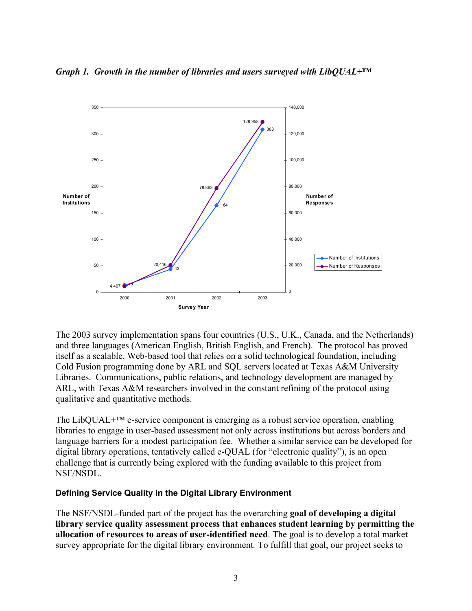

*Graph 1. Growth in the number of libraries and users surveyed with LibQUAL+™* 

The 2003 survey implementation spans four countries (U.S., U.K., Canada, and the Netherlands) and three languages (American English, British English, and French). The protocol has proved itself as a scalable, Web-based tool that relies on a solid technological foundation, including Cold Fusion programming done by ARL and SQL servers located at Texas A&M University Libraries. Communications, public relations, and technology development are managed by ARL, with Texas A&M researchers involved in the constant refining of the protocol using qualitative and quantitative methods.

The LibQUAL+™ e-service component is emerging as a robust service operation, enabling libraries to engage in user-based assessment not only across institutions but across borders and language barriers for a modest participation fee. Whether a similar service can be developed for digital library operations, tentatively called e-QUAL (for "electronic quality"), is an open challenge that is currently being explored with the funding available to this project from NSF/NSDL.

#### **Defining Service Quality in the Digital Library Environment**

The NSF/NSDL-funded part of the project has the overarching **goal of developing a digital library service quality assessment process that enhances student learning by permitting the allocation of resources to areas of user-identified need**. The goal is to develop a total market survey appropriate for the digital library environment*.* To fulfill that goal, our project seeks to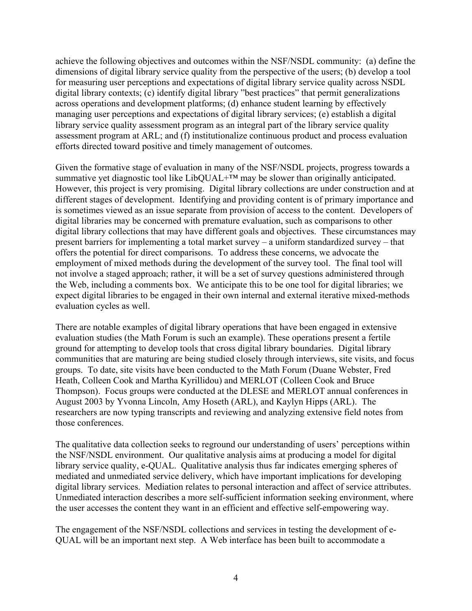achieve the following objectives and outcomes within the NSF/NSDL community:(a) define the dimensions of digital library service quality from the perspective of the users; (b) develop a tool for measuring user perceptions and expectations of digital library service quality across NSDL digital library contexts; (c) identify digital library "best practices" that permit generalizations across operations and development platforms; (d) enhance student learning by effectively managing user perceptions and expectations of digital library services; (e) establish a digital library service quality assessment program as an integral part of the library service quality assessment program at ARL; and (f) institutionalize continuous product and process evaluation efforts directed toward positive and timely management of outcomes.

Given the formative stage of evaluation in many of the NSF/NSDL projects, progress towards a summative yet diagnostic tool like LibQUAL+™ may be slower than originally anticipated. However, this project is very promising. Digital library collections are under construction and at different stages of development. Identifying and providing content is of primary importance and is sometimes viewed as an issue separate from provision of access to the content. Developers of digital libraries may be concerned with premature evaluation, such as comparisons to other digital library collections that may have different goals and objectives. These circumstances may present barriers for implementing a total market survey – a uniform standardized survey – that offers the potential for direct comparisons. To address these concerns, we advocate the employment of mixed methods during the development of the survey tool. The final tool will not involve a staged approach; rather, it will be a set of survey questions administered through the Web, including a comments box. We anticipate this to be one tool for digital libraries; we expect digital libraries to be engaged in their own internal and external iterative mixed-methods evaluation cycles as well.

There are notable examples of digital library operations that have been engaged in extensive evaluation studies (the Math Forum is such an example). These operations present a fertile ground for attempting to develop tools that cross digital library boundaries. Digital library communities that are maturing are being studied closely through interviews, site visits, and focus groups. To date, site visits have been conducted to the Math Forum (Duane Webster, Fred Heath, Colleen Cook and Martha Kyrillidou) and MERLOT (Colleen Cook and Bruce Thompson). Focus groups were conducted at the DLESE and MERLOT annual conferences in August 2003 by Yvonna Lincoln, Amy Hoseth (ARL), and Kaylyn Hipps (ARL). The researchers are now typing transcripts and reviewing and analyzing extensive field notes from those conferences.

The qualitative data collection seeks to reground our understanding of users' perceptions within the NSF/NSDL environment. Our qualitative analysis aims at producing a model for digital library service quality, e-QUAL. Qualitative analysis thus far indicates emerging spheres of mediated and unmediated service delivery, which have important implications for developing digital library services. Mediation relates to personal interaction and affect of service attributes. Unmediated interaction describes a more self-sufficient information seeking environment, where the user accesses the content they want in an efficient and effective self-empowering way.

The engagement of the NSF/NSDL collections and services in testing the development of e-QUAL will be an important next step. A Web interface has been built to accommodate a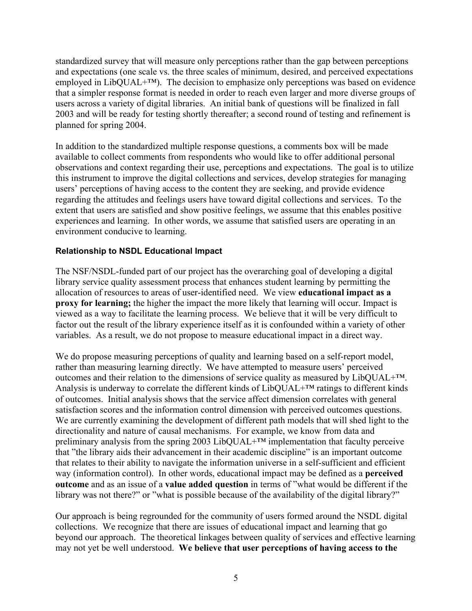standardized survey that will measure only perceptions rather than the gap between perceptions and expectations (one scale vs. the three scales of minimum, desired, and perceived expectations employed in LibQUAL+<sup>™</sup>). The decision to emphasize only perceptions was based on evidence that a simpler response format is needed in order to reach even larger and more diverse groups of users across a variety of digital libraries. An initial bank of questions will be finalized in fall 2003 and will be ready for testing shortly thereafter; a second round of testing and refinement is planned for spring 2004.

In addition to the standardized multiple response questions, a comments box will be made available to collect comments from respondents who would like to offer additional personal observations and context regarding their use, perceptions and expectations. The goal is to utilize this instrument to improve the digital collections and services, develop strategies for managing users' perceptions of having access to the content they are seeking, and provide evidence regarding the attitudes and feelings users have toward digital collections and services. To the extent that users are satisfied and show positive feelings, we assume that this enables positive experiences and learning. In other words, we assume that satisfied users are operating in an environment conducive to learning.

#### **Relationship to NSDL Educational Impact**

The NSF/NSDL-funded part of our project has the overarching goal of developing a digital library service quality assessment process that enhances student learning by permitting the allocation of resources to areas of user-identified need. We view **educational impact as a proxy for learning;** the higher the impact the more likely that learning will occur. Impact is viewed as a way to facilitate the learning process. We believe that it will be very difficult to factor out the result of the library experience itself as it is confounded within a variety of other variables. As a result, we do not propose to measure educational impact in a direct way.

We do propose measuring perceptions of quality and learning based on a self-report model, rather than measuring learning directly. We have attempted to measure users' perceived outcomes and their relation to the dimensions of service quality as measured by LibQUAL+™. Analysis is underway to correlate the different kinds of  $LibOUAL+<sup>TM</sup>$  ratings to different kinds of outcomes. Initial analysis shows that the service affect dimension correlates with general satisfaction scores and the information control dimension with perceived outcomes questions. We are currently examining the development of different path models that will shed light to the directionality and nature of causal mechanisms. For example, we know from data and preliminary analysis from the spring 2003 LibQUAL<sup>+™</sup> implementation that faculty perceive that "the library aids their advancement in their academic discipline" is an important outcome that relates to their ability to navigate the information universe in a self-sufficient and efficient way (information control). In other words, educational impact may be defined as a **perceived outcome** and as an issue of a **value added question** in terms of "what would be different if the library was not there?" or "what is possible because of the availability of the digital library?"

Our approach is being regrounded for the community of users formed around the NSDL digital collections. We recognize that there are issues of educational impact and learning that go beyond our approach. The theoretical linkages between quality of services and effective learning may not yet be well understood. **We believe that user perceptions of having access to the**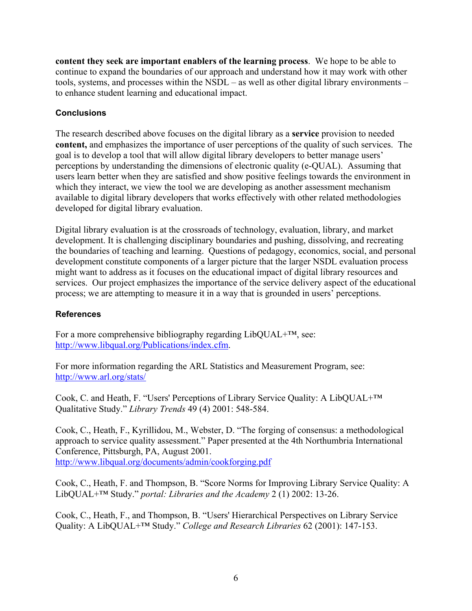**content they seek are important enablers of the learning process**. We hope to be able to continue to expand the boundaries of our approach and understand how it may work with other tools, systems, and processes within the NSDL – as well as other digital library environments – to enhance student learning and educational impact.

### **Conclusions**

The research described above focuses on the digital library as a **service** provision to needed **content,** and emphasizes the importance of user perceptions of the quality of such services. The goal is to develop a tool that will allow digital library developers to better manage users' perceptions by understanding the dimensions of electronic quality (e-QUAL). Assuming that users learn better when they are satisfied and show positive feelings towards the environment in which they interact, we view the tool we are developing as another assessment mechanism available to digital library developers that works effectively with other related methodologies developed for digital library evaluation.

Digital library evaluation is at the crossroads of technology, evaluation, library, and market development. It is challenging disciplinary boundaries and pushing, dissolving, and recreating the boundaries of teaching and learning. Questions of pedagogy, economics, social, and personal development constitute components of a larger picture that the larger NSDL evaluation process might want to address as it focuses on the educational impact of digital library resources and services. Our project emphasizes the importance of the service delivery aspect of the educational process; we are attempting to measure it in a way that is grounded in users' perceptions.

#### **References**

For a more comprehensive bibliography regarding LibQUAL+™, see: [http://www.libqual.org/Publications/index.cfm](http://old.libqual.org/Publications/index.cfm).

For more information regarding the ARL Statistics and Measurement Program, see: <http://www.arl.org/stats/>

Cook, C. and Heath, F. "Users' Perceptions of Library Service Quality: A LibQUAL+™ Qualitative Study." *Library Trends* 49 (4) 2001: 548-584.

Cook, C., Heath, F., Kyrillidou, M., Webster, D. "The forging of consensus: a methodological approach to service quality assessment." Paper presented at the 4th Northumbria International Conference, Pittsburgh, PA, August 2001. [http://www.libqual.org/documents/admin/cookforging.pdf](http://old.libqual.org/documents/admin/cookforging.pdf) 

Cook, C., Heath, F. and Thompson, B. "Score Norms for Improving Library Service Quality: A LibQUAL+™ Study." *portal: Libraries and the Academy* 2 (1) 2002: 13-26.

Cook, C., Heath, F., and Thompson, B. "Users' Hierarchical Perspectives on Library Service Quality: A LibQUAL+™ Study." *College and Research Libraries* 62 (2001): 147-153.